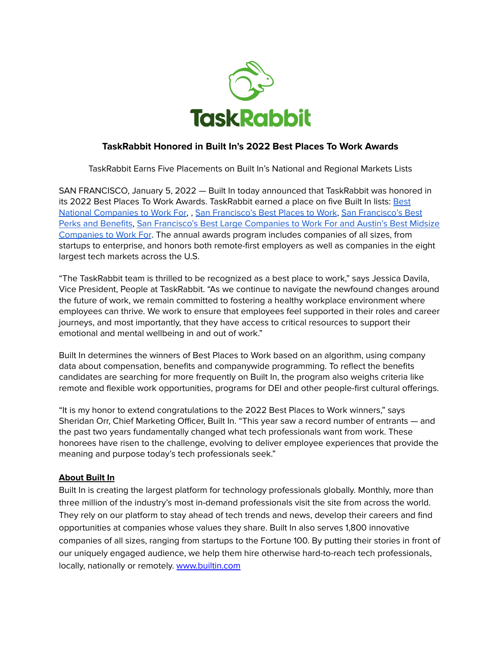

## **TaskRabbit Honored in Built In's 2022 Best Places To Work Awards**

TaskRabbit Earns Five Placements on Built In's National and Regional Markets Lists

SAN FRANCISCO, January 5, 2022 — Built In today announced that TaskRabbit was honored in its 2022 [Best](https://builtin.com/corporate-innovation/100-best-large-places-work-2022) Places To Work Awards. TaskRabbit earned a place on five Built In lists: Best National [Companies](https://builtin.com/corporate-innovation/100-best-large-places-work-2022) to Work For, , San [Francisco's](https://www.builtinsf.com/companies/best-places-to-work-san_francisco-2022) Best Places to Work, San [Francisco's](https://www.builtinsf.com/companies/companies-best-benefits-san_francisco-2022) Best Perks and [Benefits](https://www.builtinsf.com/companies/companies-best-benefits-san_francisco-2022), San Francisco's Best Large [Companies](https://www.builtinsf.com/companies/best-large-places-to-work-san_francisco-2022) to Work For and [Austin's](https://www.builtinaustin.com/companies/best-midsize-places-to-work-austin-2022) Best Midsize [Companies](https://www.builtinaustin.com/companies/best-midsize-places-to-work-austin-2022) to Work For. The annual awards program includes companies of all sizes, from startups to enterprise, and honors both remote-first employers as well as companies in the eight largest tech markets across the U.S.

"The TaskRabbit team is thrilled to be recognized as a best place to work," says Jessica Davila, Vice President, People at TaskRabbit. "As we continue to navigate the newfound changes around the future of work, we remain committed to fostering a healthy workplace environment where employees can thrive. We work to ensure that employees feel supported in their roles and career journeys, and most importantly, that they have access to critical resources to support their emotional and mental wellbeing in and out of work."

Built In determines the winners of Best Places to Work based on an algorithm, using company data about compensation, benefits and companywide programming. To reflect the benefits candidates are searching for more frequently on Built In, the program also weighs criteria like remote and flexible work opportunities, programs for DEI and other people-first cultural offerings.

"It is my honor to extend congratulations to the 2022 Best Places to Work winners," says Sheridan Orr, Chief Marketing Officer, Built In. "This year saw a record number of entrants — and the past two years fundamentally changed what tech professionals want from work. These honorees have risen to the challenge, evolving to deliver employee experiences that provide the meaning and purpose today's tech professionals seek."

## **About Built In**

Built In is creating the largest platform for technology professionals globally. Monthly, more than three million of the industry's most in-demand professionals visit the site from across the world. They rely on our platform to stay ahead of tech trends and news, develop their careers and find opportunities at companies whose values they share. Built In also serves 1,800 innovative companies of all sizes, ranging from startups to the Fortune 100. By putting their stories in front of our uniquely engaged audience, we help them hire otherwise hard-to-reach tech professionals, locally, nationally or remotely. [www.builtin.com](http://www.builtin.com)